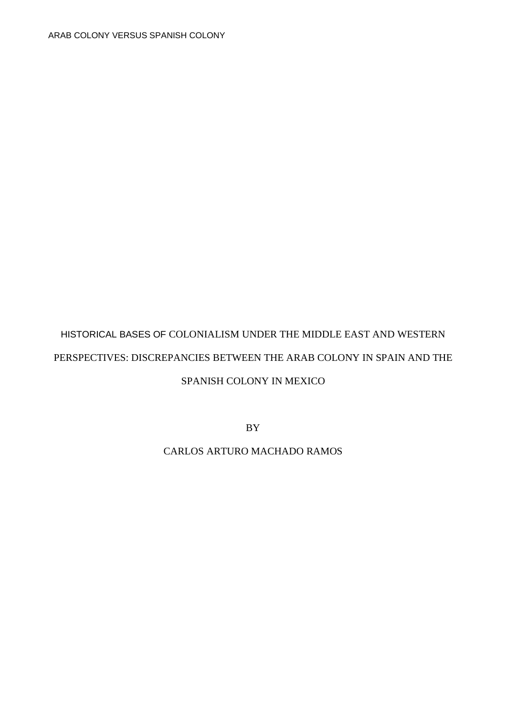# HISTORICAL BASES OF COLONIALISM UNDER THE MIDDLE EAST AND WESTERN PERSPECTIVES: DISCREPANCIES BETWEEN THE ARAB COLONY IN SPAIN AND THE

## SPANISH COLONY IN MEXICO

BY

## CARLOS ARTURO MACHADO RAMOS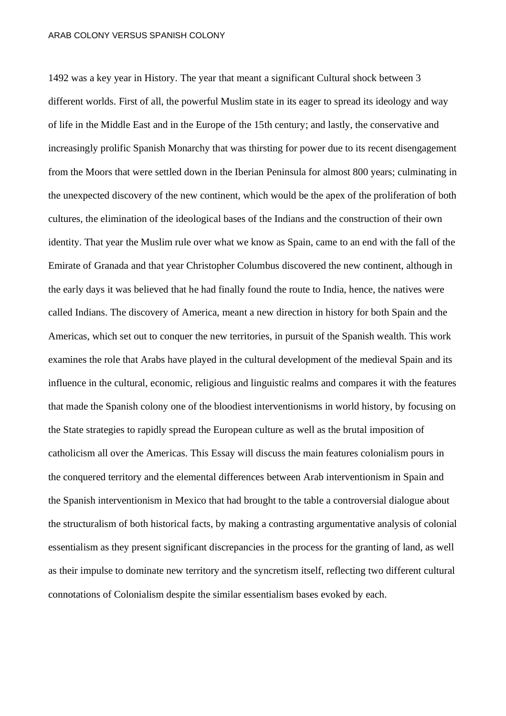1492 was a key year in History. The year that meant a significant Cultural shock between 3 different worlds. First of all, the powerful Muslim state in its eager to spread its ideology and way of life in the Middle East and in the Europe of the 15th century; and lastly, the conservative and increasingly prolific Spanish Monarchy that was thirsting for power due to its recent disengagement from the Moors that were settled down in the Iberian Peninsula for almost 800 years; culminating in the unexpected discovery of the new continent, which would be the apex of the proliferation of both cultures, the elimination of the ideological bases of the Indians and the construction of their own identity. That year the Muslim rule over what we know as Spain, came to an end with the fall of the Emirate of Granada and that year Christopher Columbus discovered the new continent, although in the early days it was believed that he had finally found the route to India, hence, the natives were called Indians. The discovery of America, meant a new direction in history for both Spain and the Americas, which set out to conquer the new territories, in pursuit of the Spanish wealth. This work examines the role that Arabs have played in the cultural development of the medieval Spain and its influence in the cultural, economic, religious and linguistic realms and compares it with the features that made the Spanish colony one of the bloodiest interventionisms in world history, by focusing on the State strategies to rapidly spread the European culture as well as the brutal imposition of catholicism all over the Americas. This Essay will discuss the main features colonialism pours in the conquered territory and the elemental differences between Arab interventionism in Spain and the Spanish interventionism in Mexico that had brought to the table a controversial dialogue about the structuralism of both historical facts, by making a contrasting argumentative analysis of colonial essentialism as they present significant discrepancies in the process for the granting of land, as well as their impulse to dominate new territory and the syncretism itself, reflecting two different cultural connotations of Colonialism despite the similar essentialism bases evoked by each.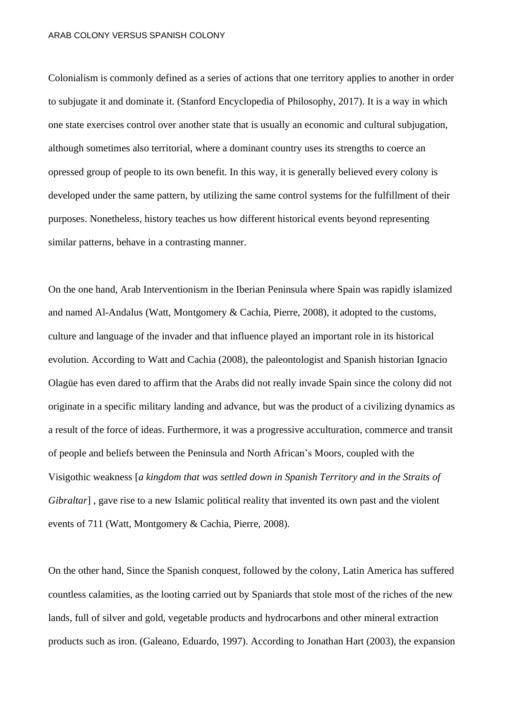Colonialism is commonly defined as a series of actions that one territory applies to another in order to subjugate it and dominate it. (Stanford Encyclopedia of Philosophy, 2017). It is a way in which one state exercises control over another state that is usually an economic and cultural subjugation, although sometimes also territorial, where a dominant country uses its strengths to coerce an opressed group of people to its own benefit. In this way, it is generally believed every colony is developed under the same pattern, by utilizing the same control systems for the fulfillment of their purposes. Nonetheless, history teaches us how different historical events beyond representing similar patterns, behave in a contrasting manner.

On the one hand, Arab Interventionism in the Iberian Peninsula where Spain was rapidly islamized and named Al-Andalus (Watt, Montgomery & Cachia, Pierre, 2008), it adopted to the customs, culture and language of the invader and that influence played an important role in its historical evolution. According to Watt and Cachia (2008), the paleontologist and Spanish historian Ignacio Olagüe has even dared to affirm that the Arabs did not really invade Spain since the colony did not originate in a specific military landing and advance, but was the product of a civilizing dynamics as a result of the force of ideas. Furthermore, it was a progressive acculturation, commerce and transit of people and beliefs between the Peninsula and North African's Moors, coupled with the Visigothic weakness [*a kingdom that was settled down in Spanish Territory and in the Straits of Gibraltar*], gave rise to a new Islamic political reality that invented its own past and the violent events of 711 (Watt, Montgomery & Cachia, Pierre, 2008).

On the other hand, Since the Spanish conquest, followed by the colony, Latin America has suffered countless calamities, as the looting carried out by Spaniards that stole most of the riches of the new lands, full of silver and gold, vegetable products and hydrocarbons and other mineral extraction products such as iron. (Galeano, Eduardo, 1997). According to Jonathan Hart (2003), the expansion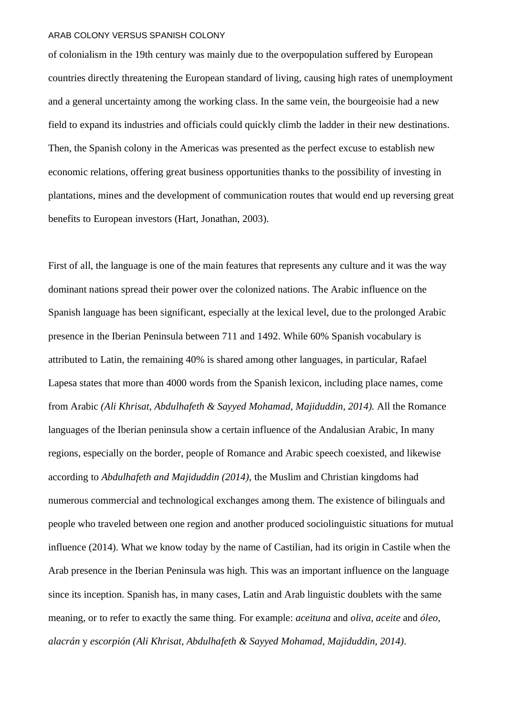of colonialism in the 19th century was mainly due to the overpopulation suffered by European countries directly threatening the European standard of living, causing high rates of unemployment and a general uncertainty among the working class. In the same vein, the bourgeoisie had a new field to expand its industries and officials could quickly climb the ladder in their new destinations. Then, the Spanish colony in the Americas was presented as the perfect excuse to establish new economic relations, offering great business opportunities thanks to the possibility of investing in plantations, mines and the development of communication routes that would end up reversing great benefits to European investors (Hart, Jonathan, 2003).

First of all, the language is one of the main features that represents any culture and it was the way dominant nations spread their power over the colonized nations. The Arabic influence on the Spanish language has been significant, especially at the lexical level, due to the prolonged Arabic presence in the Iberian Peninsula between 711 and 1492. While 60% Spanish vocabulary is attributed to Latin, the remaining 40% is shared among other languages, in particular, Rafael Lapesa states that more than 4000 words from the Spanish lexicon, including place names, come from Arabic *(Ali Khrisat, Abdulhafeth & Sayyed Mohamad, Majiduddin, 2014).* All the Romance languages of the Iberian peninsula show a certain influence of the Andalusian Arabic, In many regions, especially on the border, people of Romance and Arabic speech coexisted, and likewise according to *Abdulhafeth and Majiduddin (2014),* the Muslim and Christian kingdoms had numerous commercial and technological exchanges among them. The existence of bilinguals and people who traveled between one region and another produced sociolinguistic situations for mutual influence (2014). What we know today by the name of Castilian, had its origin in Castile when the Arab presence in the Iberian Peninsula was high. This was an important influence on the language since its inception. Spanish has, in many cases, Latin and Arab linguistic doublets with the same meaning, or to refer to exactly the same thing. For example: *aceituna* and *oliva*, *aceite* and *óleo*, *alacrán* y *escorpión (Ali Khrisat, Abdulhafeth & Sayyed Mohamad, Majiduddin, 2014)*.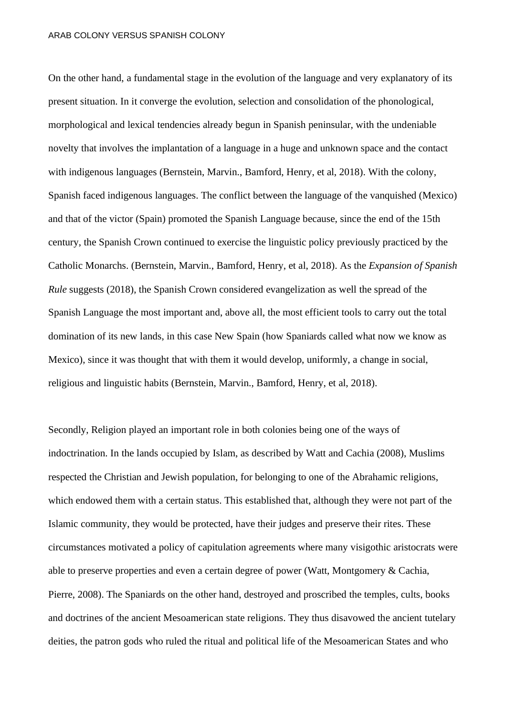On the other hand, a fundamental stage in the evolution of the language and very explanatory of its present situation. In it converge the evolution, selection and consolidation of the phonological, morphological and lexical tendencies already begun in Spanish peninsular, with the undeniable novelty that involves the implantation of a language in a huge and unknown space and the contact with indigenous languages (Bernstein, Marvin., Bamford, Henry, et al, 2018). With the colony, Spanish faced indigenous languages. The conflict between the language of the vanquished (Mexico) and that of the victor (Spain) promoted the Spanish Language because, since the end of the 15th century, the Spanish Crown continued to exercise the linguistic policy previously practiced by the Catholic Monarchs. (Bernstein, Marvin., Bamford, Henry, et al, 2018). As the *Expansion of Spanish Rule* suggests (2018), the Spanish Crown considered evangelization as well the spread of the Spanish Language the most important and, above all, the most efficient tools to carry out the total domination of its new lands, in this case New Spain (how Spaniards called what now we know as Mexico), since it was thought that with them it would develop, uniformly, a change in social, religious and linguistic habits (Bernstein, Marvin., Bamford, Henry, et al, 2018).

Secondly, Religion played an important role in both colonies being one of the ways of indoctrination. In the lands occupied by Islam, as described by Watt and Cachia (2008), Muslims respected the Christian and Jewish population, for belonging to one of the Abrahamic religions, which endowed them with a certain status. This established that, although they were not part of the Islamic community, they would be protected, have their judges and preserve their rites. These circumstances motivated a policy of capitulation agreements where many visigothic aristocrats were able to preserve properties and even a certain degree of power (Watt, Montgomery & Cachia, Pierre, 2008). The Spaniards on the other hand, destroyed and proscribed the temples, cults, books and doctrines of the ancient Mesoamerican state religions. They thus disavowed the ancient tutelary deities, the patron gods who ruled the ritual and political life of the Mesoamerican States and who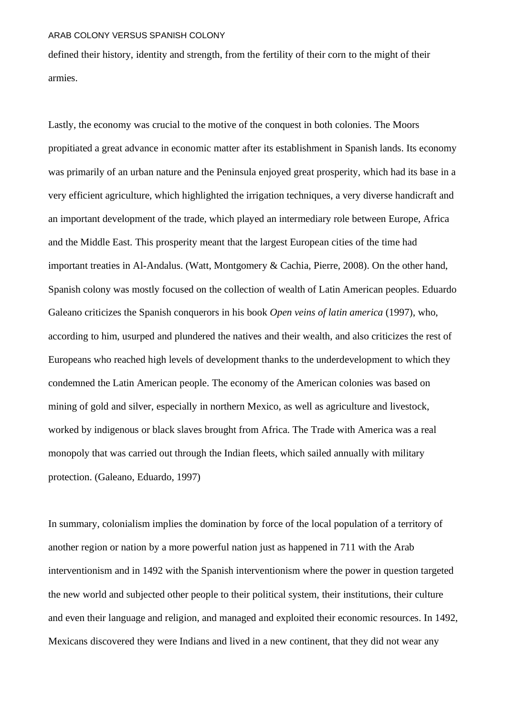defined their history, identity and strength, from the fertility of their corn to the might of their armies.

Lastly, the economy was crucial to the motive of the conquest in both colonies. The Moors propitiated a great advance in economic matter after its establishment in Spanish lands. Its economy was primarily of an urban nature and the Peninsula enjoyed great prosperity, which had its base in a very efficient agriculture, which highlighted the irrigation techniques, a very diverse handicraft and an important development of the trade, which played an intermediary role between Europe, Africa and the Middle East. This prosperity meant that the largest European cities of the time had important treaties in Al-Andalus. (Watt, Montgomery & Cachia, Pierre, 2008). On the other hand, Spanish colony was mostly focused on the collection of wealth of Latin American peoples. Eduardo Galeano criticizes the Spanish conquerors in his book *Open veins of latin america* (1997), who, according to him, usurped and plundered the natives and their wealth, and also criticizes the rest of Europeans who reached high levels of development thanks to the underdevelopment to which they condemned the Latin American people. The economy of the American colonies was based on mining of gold and silver, especially in northern Mexico, as well as agriculture and livestock, worked by indigenous or black slaves brought from Africa. The Trade with America was a real monopoly that was carried out through the Indian fleets, which sailed annually with military protection. (Galeano, Eduardo, 1997)

In summary, colonialism implies the domination by force of the local population of a territory of another region or nation by a more powerful nation just as happened in 711 with the Arab interventionism and in 1492 with the Spanish interventionism where the power in question targeted the new world and subjected other people to their political system, their institutions, their culture and even their language and religion, and managed and exploited their economic resources. In 1492, Mexicans discovered they were Indians and lived in a new continent, that they did not wear any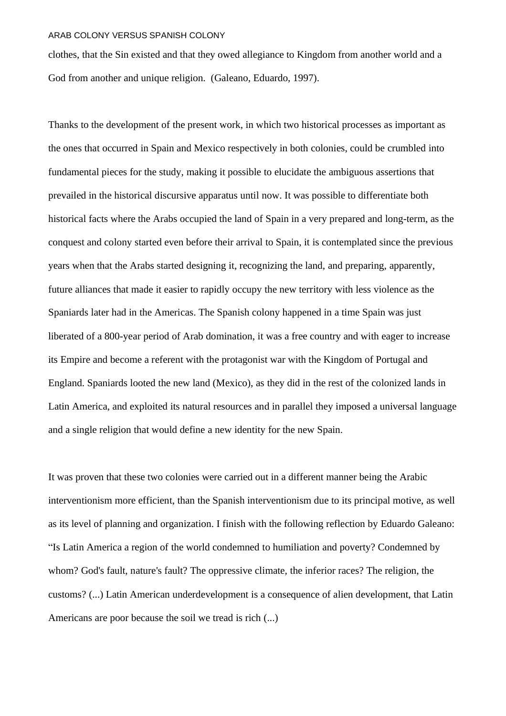clothes, that the Sin existed and that they owed allegiance to Kingdom from another world and a God from another and unique religion. (Galeano, Eduardo, 1997).

Thanks to the development of the present work, in which two historical processes as important as the ones that occurred in Spain and Mexico respectively in both colonies, could be crumbled into fundamental pieces for the study, making it possible to elucidate the ambiguous assertions that prevailed in the historical discursive apparatus until now. It was possible to differentiate both historical facts where the Arabs occupied the land of Spain in a very prepared and long-term, as the conquest and colony started even before their arrival to Spain, it is contemplated since the previous years when that the Arabs started designing it, recognizing the land, and preparing, apparently, future alliances that made it easier to rapidly occupy the new territory with less violence as the Spaniards later had in the Americas. The Spanish colony happened in a time Spain was just liberated of a 800-year period of Arab domination, it was a free country and with eager to increase its Empire and become a referent with the protagonist war with the Kingdom of Portugal and England. Spaniards looted the new land (Mexico), as they did in the rest of the colonized lands in Latin America, and exploited its natural resources and in parallel they imposed a universal language and a single religion that would define a new identity for the new Spain.

It was proven that these two colonies were carried out in a different manner being the Arabic interventionism more efficient, than the Spanish interventionism due to its principal motive, as well as its level of planning and organization. I finish with the following reflection by Eduardo Galeano: "Is Latin America a region of the world condemned to humiliation and poverty? Condemned by whom? God's fault, nature's fault? The oppressive climate, the inferior races? The religion, the customs? (...) Latin American underdevelopment is a consequence of alien development, that Latin Americans are poor because the soil we tread is rich (...)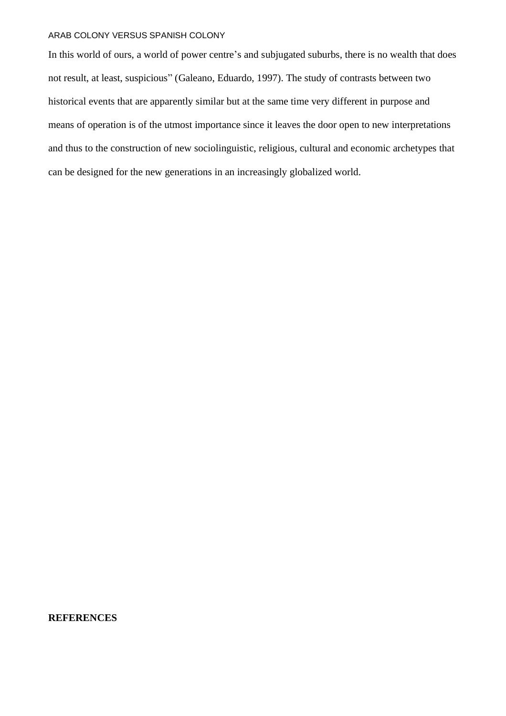In this world of ours, a world of power centre's and subjugated suburbs, there is no wealth that does not result, at least, suspicious" (Galeano, Eduardo, 1997). The study of contrasts between two historical events that are apparently similar but at the same time very different in purpose and means of operation is of the utmost importance since it leaves the door open to new interpretations and thus to the construction of new sociolinguistic, religious, cultural and economic archetypes that can be designed for the new generations in an increasingly globalized world.

#### **REFERENCES**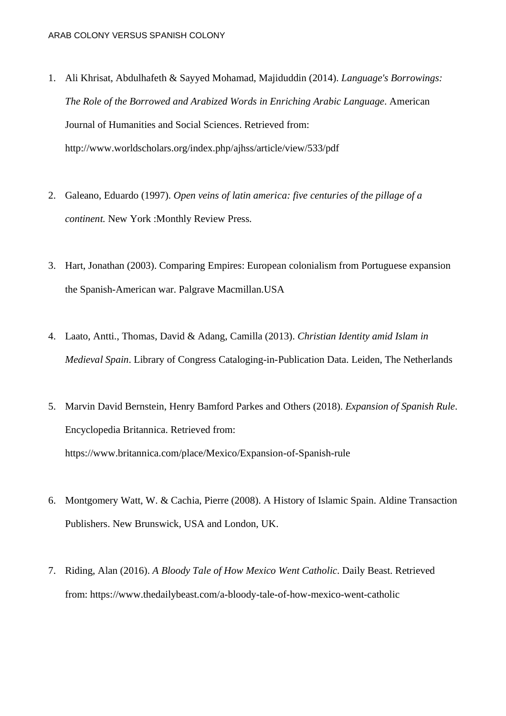- 1. Ali Khrisat, Abdulhafeth & Sayyed Mohamad, Majiduddin (2014). *Language's Borrowings: The Role of the Borrowed and Arabized Words in Enriching Arabic Language*. American Journal of Humanities and Social Sciences. Retrieved from: <http://www.worldscholars.org/index.php/ajhss/article/view/533/pdf>
- 2. Galeano, Eduardo (1997). *Open veins of latin america: five centuries of the pillage of a continent.* New York :Monthly Review Press*.*
- 3. Hart, Jonathan (2003). Comparing Empires: European colonialism from Portuguese expansion the Spanish-American war. Palgrave Macmillan.USA
- 4. Laato, Antti., Thomas, David & Adang, Camilla (2013). *Christian Identity amid Islam in Medieval Spain*. Library of Congress Cataloging-in-Publication Data. Leiden, The Netherlands
- 5. Marvin David Bernstein, Henry Bamford Parkes and Others (2018). *Expansion of Spanish Rule*. Encyclopedia Britannica. Retrieved from: <https://www.britannica.com/place/Mexico/Expansion-of-Spanish-rule>
- 6. Montgomery Watt, W. & Cachia, Pierre (2008). A History of Islamic Spain. Aldine Transaction Publishers. New Brunswick, USA and London, UK.
- 7. Riding, Alan (2016). *A Bloody Tale of How Mexico Went Catholic*. Daily Beast. Retrieved from: <https://www.thedailybeast.com/a-bloody-tale-of-how-mexico-went-catholic>